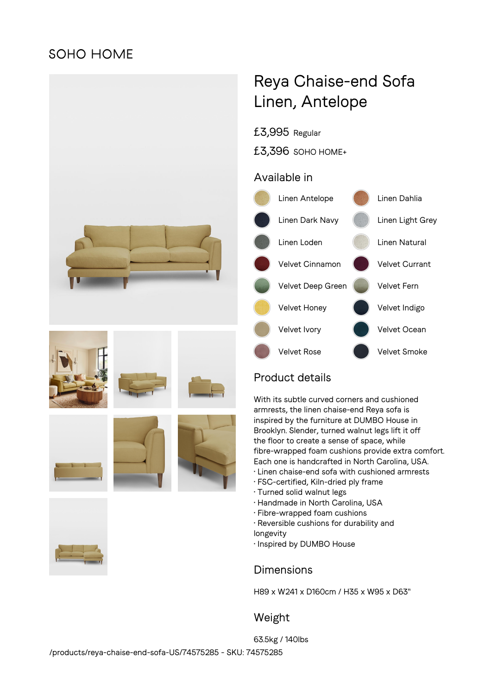## **SOHO HOME**



# Reya Chaise-end Sofa Linen, Antelope

£3,995 Regular

£3,396 SOHO HOME+

### Available in



## Product details

With its subtle curved corners and cushioned armrests, the linen chaise-end Reya sofa is inspired by the furniture at DUMBO House in Brooklyn. Slender, turned walnut legs lift it off the floor to create a sense of space, while fibre-wrapped foam cushions provide extra comfort. Each one is handcrafted in North Carolina, USA.

- Linen chaise-end sofa with cushioned armrests
- FSC-certified, Kiln-dried ply frame
- Turned solid walnut legs
- Handmade in North Carolina, USA
- Fibre-wrapped foam cushions
- Reversible cushions for durability and
- longevity
- Inspired by DUMBO House

### Dimensions

H89 x W241 x D160cm / H35 x W95 x D63"

## Weight

63.5kg / 140lbs /products/reya-chaise-end-sofa-US/74575285 - SKU: 74575285